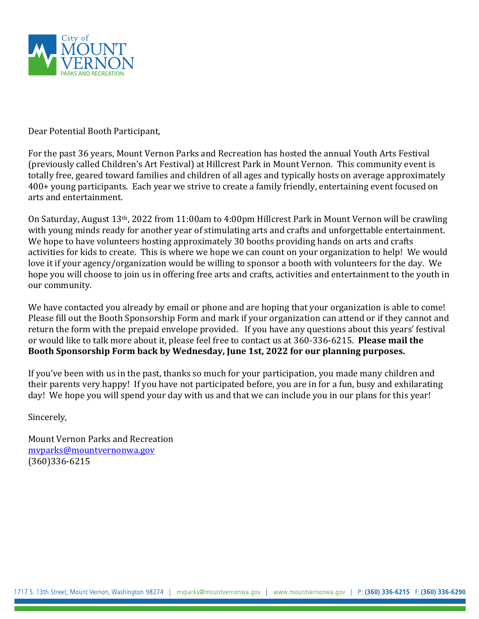

Dear Potential Booth Participant,

For the past 36 years, Mount Vernon Parks and Recreation has hosted the annual Youth Arts Festival (previously called Children's Art Festival) at Hillcrest Park in Mount Vernon. This community event is totally free, geared toward families and children of all ages and typically hosts on average approximately 400+ young participants. Each year we strive to create a family friendly, entertaining event focused on arts and entertainment.

On Saturday, August 13th, 2022 from 11:00am to 4:00pm Hillcrest Park in Mount Vernon will be crawling with young minds ready for another year of stimulating arts and crafts and unforgettable entertainment. We hope to have volunteers hosting approximately 30 booths providing hands on arts and crafts activities for kids to create. This is where we hope we can count on your organization to help! We would love it if your agency/organization would be willing to sponsor a booth with volunteers for the day. We hope you will choose to join us in offering free arts and crafts, activities and entertainment to the youth in our community.

We have contacted you already by email or phone and are hoping that your organization is able to come! Please fill out the Booth Sponsorship Form and mark if your organization can attend or if they cannot and return the form with the prepaid envelope provided. If you have any questions about this years' festival or would like to talk more about it, please feel free to contact us at 360-336-6215. **Please mail the Booth Sponsorship Form back by Wednesday, June 1st, 2022 for our planning purposes.**

If you've been with us in the past, thanks so much for your participation, you made many children and their parents very happy! If you have not participated before, you are in for a fun, busy and exhilarating day! We hope you will spend your day with us and that we can include you in our plans for this year!

Sincerely,

Mount Vernon Parks and Recreation [mvparks@mountvernonwa.gov](mailto:mvparks@mountvernonwa.gov) (360)336-6215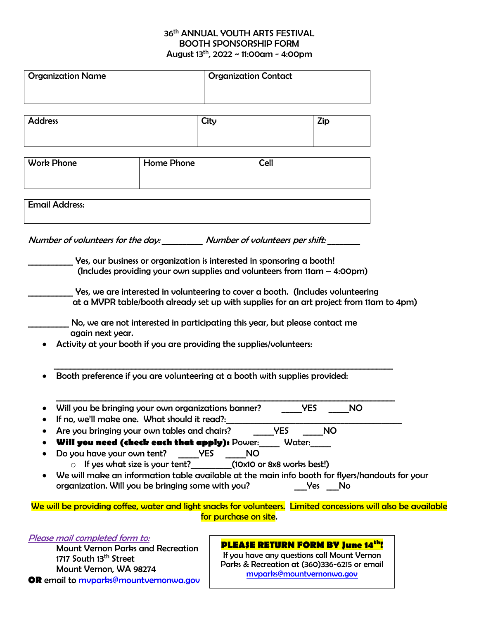#### 36<sup>th</sup> ANNUAL YOUTH ARTS FESTIVAL BOOTH SPONSORSHIP FORM August 13th, 2022 ~ 11:00am - 4:00pm

| <b>Organization Name</b>                                                                                                                                                                                                                                                                                                                                                                                                                                                                                                                                                          |  | <b>Organization Contact</b> |                      |                                                |  |
|-----------------------------------------------------------------------------------------------------------------------------------------------------------------------------------------------------------------------------------------------------------------------------------------------------------------------------------------------------------------------------------------------------------------------------------------------------------------------------------------------------------------------------------------------------------------------------------|--|-----------------------------|----------------------|------------------------------------------------|--|
| <b>Address</b>                                                                                                                                                                                                                                                                                                                                                                                                                                                                                                                                                                    |  | City                        |                      | Zip                                            |  |
| <b>Work Phone</b><br>Home Phone                                                                                                                                                                                                                                                                                                                                                                                                                                                                                                                                                   |  |                             | Cell                 |                                                |  |
| <b>Email Address:</b>                                                                                                                                                                                                                                                                                                                                                                                                                                                                                                                                                             |  |                             |                      |                                                |  |
| Yes, our business or organization is interested in sponsoring a booth!<br>(Includes providing your own supplies and volunteers from $11$ am $-$ 4:00pm)<br>Yes, we are interested in volunteering to cover a booth. (Includes volunteering<br>at a MVPR table/booth already set up with supplies for an art project from 11am to 4pm)<br>No, we are not interested in participating this year, but please contact me<br>again next year.<br>Activity at your booth if you are providing the supplies/volunteers:                                                                  |  |                             |                      |                                                |  |
| Booth preference if you are volunteering at a booth with supplies provided:                                                                                                                                                                                                                                                                                                                                                                                                                                                                                                       |  |                             |                      |                                                |  |
| Will you be bringing your own organizations banner?<br>If no, we'll make one. What should it read?:<br>Are you bringing your own tables and chairs?<br>Will you need (check each that apply): Power:<br>Do you have your own tent?<br>$\circ$ If yes what size is your tent? (10x10 or 8x8 works best!)<br>We will make an information table available at the main info booth for flyers/handouts for your<br>organization. Will you be bringing some with you?<br>We will be providing coffee, water and light snacks for volunteers. Limited concessions will also be available |  | <b>NO</b><br><b>YES</b>     | <b>YES</b><br>Water: | <b>NO</b><br><b>YES</b><br><b>NO</b><br>Yes No |  |
|                                                                                                                                                                                                                                                                                                                                                                                                                                                                                                                                                                                   |  | for purchase on site.       |                      |                                                |  |

#### Please mail completed form to:

 Mount Vernon Parks and Recreation 1717 South 13<sup>th</sup> Street Mount Vernon, WA 98274 **OR** email to [mvparks@mountvernonwa.gov](mailto:mvparks@mountvernonwa.gov)

## **PLEASE RETURN FORM BY June 14th!**

If you have any questions call Mount Vernon Parks & Recreation at (360)336-6215 or email [mvparks@mountvernonwa.gov](mailto:mvparks@mountvernonwa.gov)